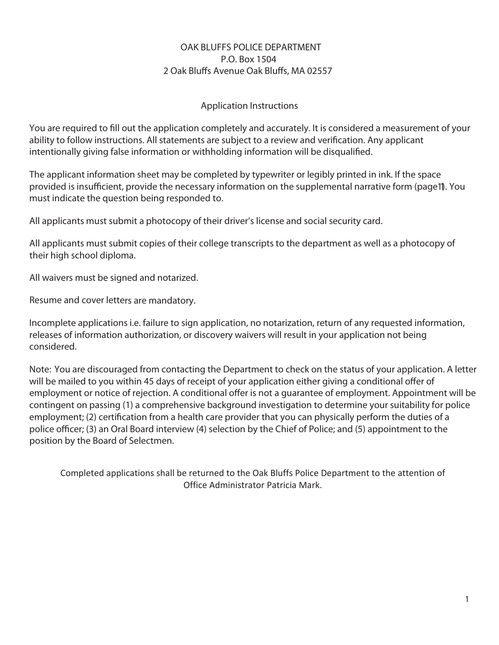# **OAK BLUFFS POLICE DEPARTMENT P.O. Box 1504**  2 Oak Bluffs Avenue Oak Bluffs, MA 02557

# **Application Instructions**

You are required to fill out the application completely and accurately. It is considered a measurement of your ability to follow instructions. All statements are subject to a review and verification. Any applicant intentionally giving false information or withholding information will be disqualified.

The applicant information sheet may be completed by typewriter or legibly printed in ink. If the space provided is insufficient, provide the necessary information on the supplemental narrative form (page 1). You must indicate the question being responded to.

All applicants must submit a photocopy of their driver's license and social security card.

All applicants must submit copies of their college transcripts to the department as well as a photocopy of their high school diploma.

All waivers must be signed and notarized.

Resume and cover letters are mandatory.

Incomplete applications i.e. failure to sign application, no notarization, return of any requested information, releases of information authorization, or discovery waivers will result in your application not being considered.

**Note:** You are discouraged from contacting the Department to check on the status of your application. A letter will be mailed to you within 45 days of receipt of your application either giving a conditional offer of employment or notice of rejection. A conditional offer is not a guarantee of employment. Appointment will be contingent on passing (1) a comprehensive background investigation to determine your suitability for police employment; (2) certification from a health care provider that you can physically perform the duties of a police officer; (3) an Oral Board interview (4) selection by the Chief of Police; and (5) appointment to the position by the Board of Selectmen.

Completed applications shall be returned to the Oak Bluffs Police Department to the attention of Office Administrator Patricia Mark.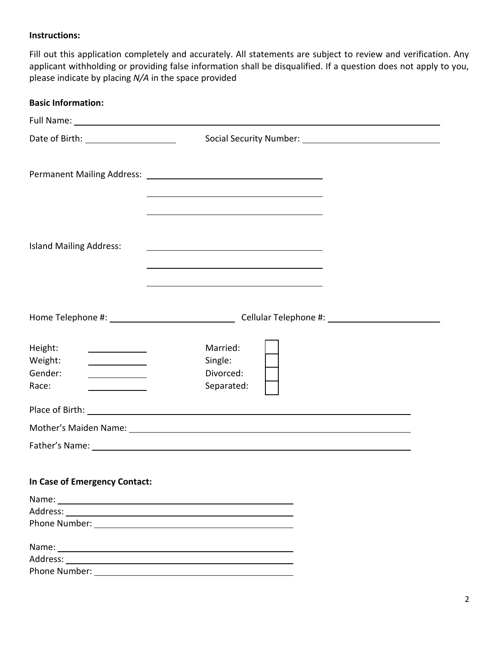# **Instructions:**

Fill out this application completely and accurately. All statements are subject to review and verification. Any applicant withholding or providing false information shall be disqualified. If a question does not apply to you, please indicate by placing *N/A* in the space provided

| <b>Basic Information:</b>                                                         |                                                                                                                                                                                                                                |
|-----------------------------------------------------------------------------------|--------------------------------------------------------------------------------------------------------------------------------------------------------------------------------------------------------------------------------|
|                                                                                   | Full Name: 1988 Contract Contract Contract Contract Contract Contract Contract Contract Contract Contract Contract Contract Contract Contract Contract Contract Contract Contract Contract Contract Contract Contract Contract |
|                                                                                   |                                                                                                                                                                                                                                |
|                                                                                   |                                                                                                                                                                                                                                |
| <b>Island Mailing Address:</b>                                                    |                                                                                                                                                                                                                                |
|                                                                                   |                                                                                                                                                                                                                                |
| Height:<br><u> 1989 - Johann Barbara, martin a</u><br>Weight:<br>Gender:<br>Race: | Married:<br>Single:<br>Divorced:<br>Separated:                                                                                                                                                                                 |
|                                                                                   |                                                                                                                                                                                                                                |
|                                                                                   |                                                                                                                                                                                                                                |
|                                                                                   |                                                                                                                                                                                                                                |
| In Case of Emergency Contact:                                                     |                                                                                                                                                                                                                                |
|                                                                                   |                                                                                                                                                                                                                                |
|                                                                                   |                                                                                                                                                                                                                                |
|                                                                                   |                                                                                                                                                                                                                                |
|                                                                                   |                                                                                                                                                                                                                                |
|                                                                                   |                                                                                                                                                                                                                                |
|                                                                                   |                                                                                                                                                                                                                                |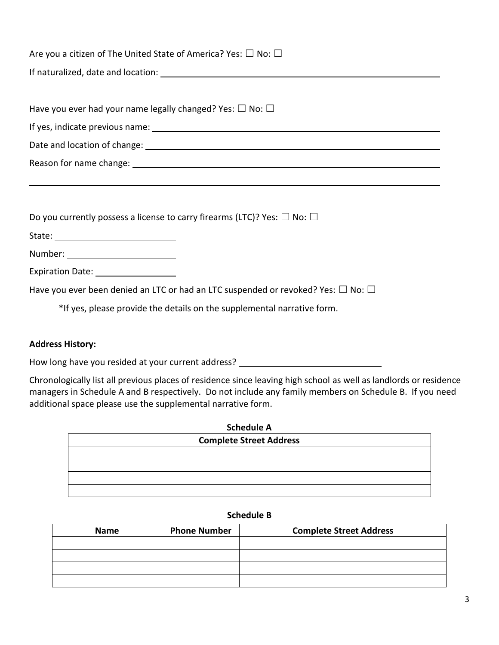| Are you a citizen of The United State of America? Yes: $\square$ No: $\square$              |  |  |  |  |  |
|---------------------------------------------------------------------------------------------|--|--|--|--|--|
|                                                                                             |  |  |  |  |  |
|                                                                                             |  |  |  |  |  |
| Have you ever had your name legally changed? Yes: $\square$ No: $\square$                   |  |  |  |  |  |
|                                                                                             |  |  |  |  |  |
|                                                                                             |  |  |  |  |  |
|                                                                                             |  |  |  |  |  |
|                                                                                             |  |  |  |  |  |
|                                                                                             |  |  |  |  |  |
| Do you currently possess a license to carry firearms (LTC)? Yes: $\Box$ No: $\Box$          |  |  |  |  |  |
|                                                                                             |  |  |  |  |  |
|                                                                                             |  |  |  |  |  |
| Expiration Date: __________________                                                         |  |  |  |  |  |
| Have you ever been denied an LTC or had an LTC suspended or revoked? Yes: $\Box$ No: $\Box$ |  |  |  |  |  |
| *If yes, please provide the details on the supplemental narrative form.                     |  |  |  |  |  |

### **Address History:**

How long have you resided at your current address? \_\_\_\_\_\_\_\_\_\_\_\_\_\_\_\_\_\_\_\_\_\_\_\_\_\_\_\_\_

Chronologically list all previous places of residence since leaving high school as well as landlords or residence managers in Schedule A and B respectively. Do not include any family members on Schedule B. If you need additional space please use the supplemental narrative form.

| <b>Schedule A</b>              |  |
|--------------------------------|--|
| <b>Complete Street Address</b> |  |
|                                |  |
|                                |  |
|                                |  |
|                                |  |

### **Schedule B**

| <b>Name</b> | <b>Phone Number</b><br><b>Complete Street Address</b> |  |
|-------------|-------------------------------------------------------|--|
|             |                                                       |  |
|             |                                                       |  |
|             |                                                       |  |
|             |                                                       |  |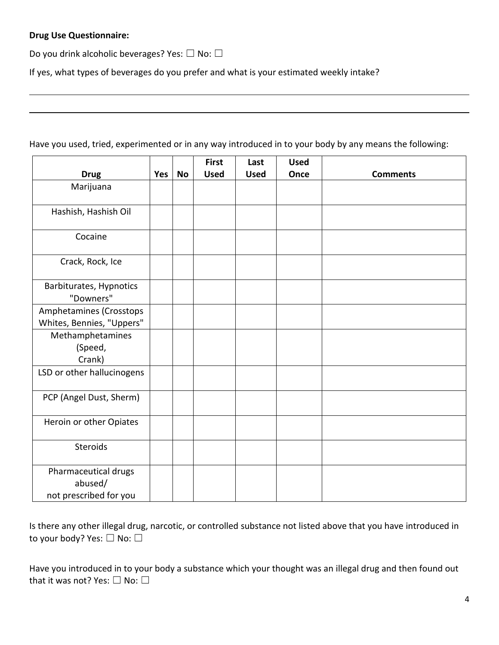## **Drug Use Questionnaire:**

Do you drink alcoholic beverages? Yes:  $\Box$  No:  $\Box$ 

If yes, what types of beverages do you prefer and what is your estimated weekly intake?

Have you used, tried, experimented or in any way introduced in to your body by any means the following:

|                                                           |     |           | <b>First</b> | Last        | <b>Used</b> |                 |
|-----------------------------------------------------------|-----|-----------|--------------|-------------|-------------|-----------------|
| <b>Drug</b>                                               | Yes | <b>No</b> | <b>Used</b>  | <b>Used</b> | Once        | <b>Comments</b> |
| Marijuana                                                 |     |           |              |             |             |                 |
| Hashish, Hashish Oil                                      |     |           |              |             |             |                 |
| Cocaine                                                   |     |           |              |             |             |                 |
| Crack, Rock, Ice                                          |     |           |              |             |             |                 |
| Barbiturates, Hypnotics<br>"Downers"                      |     |           |              |             |             |                 |
| Amphetamines (Crosstops<br>Whites, Bennies, "Uppers"      |     |           |              |             |             |                 |
| Methamphetamines<br>(Speed,<br>Crank)                     |     |           |              |             |             |                 |
| LSD or other hallucinogens                                |     |           |              |             |             |                 |
| PCP (Angel Dust, Sherm)                                   |     |           |              |             |             |                 |
| Heroin or other Opiates                                   |     |           |              |             |             |                 |
| Steroids                                                  |     |           |              |             |             |                 |
| Pharmaceutical drugs<br>abused/<br>not prescribed for you |     |           |              |             |             |                 |

Is there any other illegal drug, narcotic, or controlled substance not listed above that you have introduced in to your body? Yes: □ No: □

Have you introduced in to your body a substance which your thought was an illegal drug and then found out that it was not? Yes: □ No: □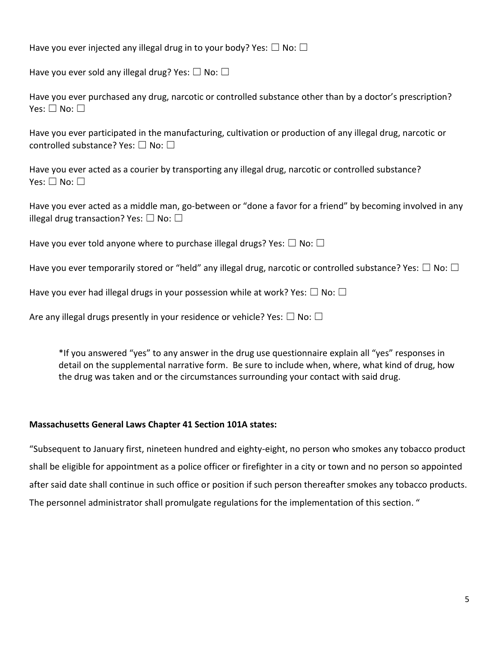Have you ever injected any illegal drug in to your body? Yes:  $\Box$  No:  $\Box$ 

Have you ever sold any illegal drug? Yes:  $\Box$  No:  $\Box$ 

Have you ever purchased any drug, narcotic or controlled substance other than by a doctor's prescription? Yes: □ No: □

Have you ever participated in the manufacturing, cultivation or production of any illegal drug, narcotic or controlled substance? Yes: ☐ No: ☐

Have you ever acted as a courier by transporting any illegal drug, narcotic or controlled substance? Yes:  $\square$  No:  $\square$ 

Have you ever acted as a middle man, go-between or "done a favor for a friend" by becoming involved in any illegal drug transaction? Yes:  $\Box$  No:  $\Box$ 

Have you ever told anyone where to purchase illegal drugs? Yes:  $\Box$  No:  $\Box$ 

Have you ever temporarily stored or "held" any illegal drug, narcotic or controlled substance? Yes:  $\Box$  No:  $\Box$ 

Have you ever had illegal drugs in your possession while at work? Yes:  $\Box$  No:  $\Box$ 

Are any illegal drugs presently in your residence or vehicle? Yes:  $\Box$  No:  $\Box$ 

\*If you answered "yes" to any answer in the drug use questionnaire explain all "yes" responses in detail on the supplemental narrative form. Be sure to include when, where, what kind of drug, how the drug was taken and or the circumstances surrounding your contact with said drug.

### **Massachusetts General Laws Chapter 41 Section 101A states:**

"Subsequent to January first, nineteen hundred and eighty-eight, no person who smokes any tobacco product shall be eligible for appointment as a police officer or firefighter in a city or town and no person so appointed after said date shall continue in such office or position if such person thereafter smokes any tobacco products. The personnel administrator shall promulgate regulations for the implementation of this section. "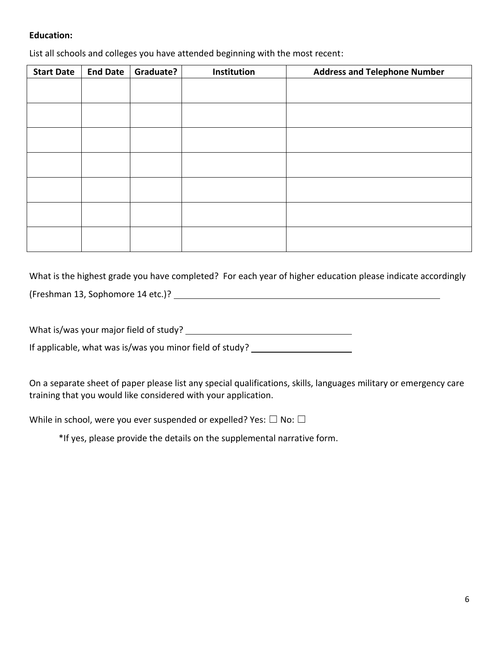## **Education:**

List all schools and colleges you have attended beginning with the most recent:

| <b>Start Date</b> | <b>End Date</b> | Graduate? | Institution | <b>Address and Telephone Number</b> |
|-------------------|-----------------|-----------|-------------|-------------------------------------|
|                   |                 |           |             |                                     |
|                   |                 |           |             |                                     |
|                   |                 |           |             |                                     |
|                   |                 |           |             |                                     |
|                   |                 |           |             |                                     |
|                   |                 |           |             |                                     |
|                   |                 |           |             |                                     |
|                   |                 |           |             |                                     |
|                   |                 |           |             |                                     |
|                   |                 |           |             |                                     |
|                   |                 |           |             |                                     |
|                   |                 |           |             |                                     |
|                   |                 |           |             |                                     |
|                   |                 |           |             |                                     |

What is the highest grade you have completed? For each year of higher education please indicate accordingly (Freshman 13, Sophomore 14 etc.)?

What is/was your major field of study?

If applicable, what was is/was you minor field of study?

On a separate sheet of paper please list any special qualifications, skills, languages military or emergency care training that you would like considered with your application.

While in school, were you ever suspended or expelled? Yes:  $\Box$  No:  $\Box$ 

\*If yes, please provide the details on the supplemental narrative form.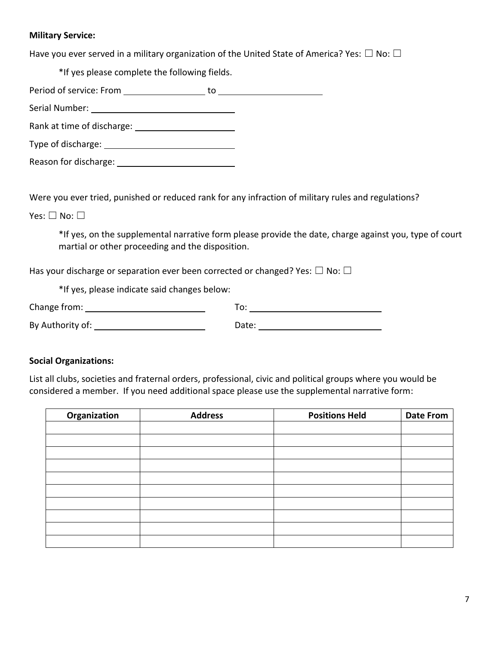## **Military Service:**

Have you ever served in a military organization of the United State of America? Yes:  $\Box$  No:  $\Box$ 

\*If yes please complete the following fields.

Period of service: From to Serial Number: Rank at time of discharge: Type of discharge: Reason for discharge: Network and the set of the set of the set of the set of the set of the set of the set of the set of the set of the set of the set of the set of the set of the set of the set of the set of the set of t

Were you ever tried, punished or reduced rank for any infraction of military rules and regulations?

Yes: □ No: □

\*If yes, on the supplemental narrative form please provide the date, charge against you, type of court martial or other proceeding and the disposition.

Has your discharge or separation ever been corrected or changed? Yes:  $\Box$  No:  $\Box$ 

\*If yes, please indicate said changes below:

| Change from:     |       |
|------------------|-------|
| By Authority of: | Date: |

## **Social Organizations:**

List all clubs, societies and fraternal orders, professional, civic and political groups where you would be considered a member. If you need additional space please use the supplemental narrative form:

| Organization | <b>Address</b> | <b>Positions Held</b> | <b>Date From</b> |
|--------------|----------------|-----------------------|------------------|
|              |                |                       |                  |
|              |                |                       |                  |
|              |                |                       |                  |
|              |                |                       |                  |
|              |                |                       |                  |
|              |                |                       |                  |
|              |                |                       |                  |
|              |                |                       |                  |
|              |                |                       |                  |
|              |                |                       |                  |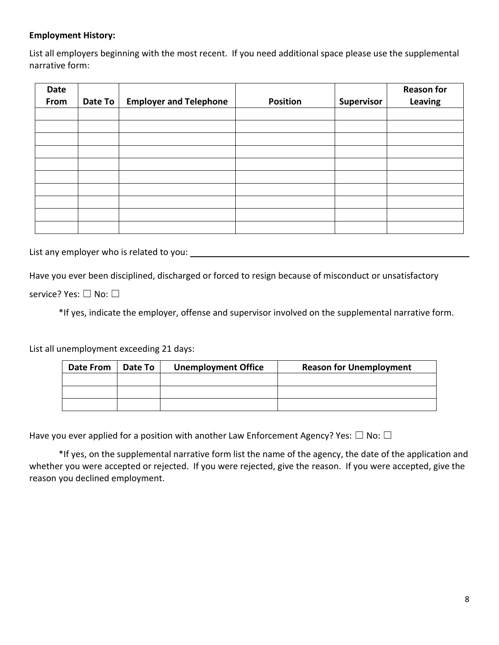## **Employment History:**

List all employers beginning with the most recent. If you need additional space please use the supplemental narrative form:

| Date<br>From | Date To | <b>Employer and Telephone</b> | <b>Position</b> | <b>Supervisor</b> | <b>Reason for</b><br>Leaving |
|--------------|---------|-------------------------------|-----------------|-------------------|------------------------------|
|              |         |                               |                 |                   |                              |
|              |         |                               |                 |                   |                              |
|              |         |                               |                 |                   |                              |
|              |         |                               |                 |                   |                              |
|              |         |                               |                 |                   |                              |
|              |         |                               |                 |                   |                              |
|              |         |                               |                 |                   |                              |
|              |         |                               |                 |                   |                              |
|              |         |                               |                 |                   |                              |
|              |         |                               |                 |                   |                              |

List any employer who is related to you:

Have you ever been disciplined, discharged or forced to resign because of misconduct or unsatisfactory

service? Yes: □ No: □

\*If yes, indicate the employer, offense and supervisor involved on the supplemental narrative form.

List all unemployment exceeding 21 days:

| Date From | Date To | <b>Unemployment Office</b> | <b>Reason for Unemployment</b> |
|-----------|---------|----------------------------|--------------------------------|
|           |         |                            |                                |
|           |         |                            |                                |
|           |         |                            |                                |

Have you ever applied for a position with another Law Enforcement Agency? Yes:  $\Box$  No:  $\Box$ 

\*If yes, on the supplemental narrative form list the name of the agency, the date of the application and whether you were accepted or rejected. If you were rejected, give the reason. If you were accepted, give the reason you declined employment.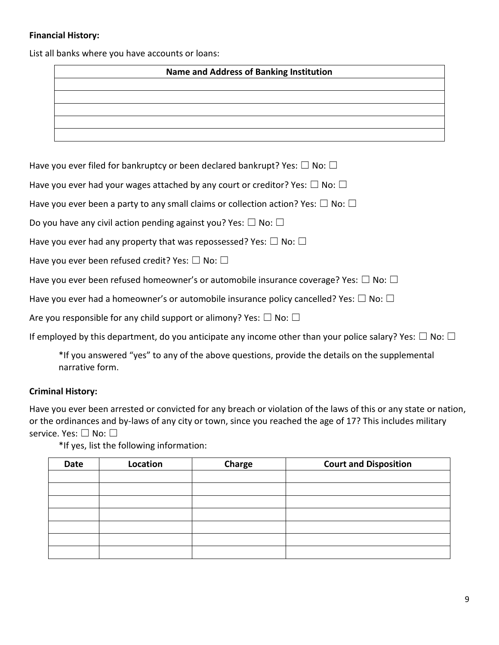# **Financial History:**

List all banks where you have accounts or loans:

| <b>Native and Address of Baliking Institution</b> |  |  |  |
|---------------------------------------------------|--|--|--|
|                                                   |  |  |  |
|                                                   |  |  |  |
|                                                   |  |  |  |
|                                                   |  |  |  |
|                                                   |  |  |  |

Have you ever filed for bankruptcy or been declared bankrupt? Yes:  $\Box$  No:  $\Box$ 

Have you ever had your wages attached by any court or creditor? Yes:  $\Box$  No:  $\Box$ 

Have you ever been a party to any small claims or collection action? Yes:  $\Box$  No:  $\Box$ 

Do you have any civil action pending against you? Yes:  $\Box$  No:  $\Box$ 

Have you ever had any property that was repossessed? Yes:  $\Box$  No:  $\Box$ 

Have you ever been refused credit? Yes:  $\Box$  No:  $\Box$ 

Have you ever been refused homeowner's or automobile insurance coverage? Yes:  $\Box$  No:  $\Box$ 

Have you ever had a homeowner's or automobile insurance policy cancelled? Yes:  $\Box$  No:  $\Box$ 

Are you responsible for any child support or alimony? Yes:  $\Box$  No:  $\Box$ 

If employed by this department, do you anticipate any income other than your police salary? Yes:  $\Box$  No:  $\Box$ 

\*If you answered "yes" to any of the above questions, provide the details on the supplemental narrative form.

## **Criminal History:**

Have you ever been arrested or convicted for any breach or violation of the laws of this or any state or nation, or the ordinances and by-laws of any city or town, since you reached the age of 17? This includes military service. Yes: □ No: □

\*If yes, list the following information:

| <b>Date</b> | Location | Charge | <b>Court and Disposition</b> |
|-------------|----------|--------|------------------------------|
|             |          |        |                              |
|             |          |        |                              |
|             |          |        |                              |
|             |          |        |                              |
|             |          |        |                              |
|             |          |        |                              |
|             |          |        |                              |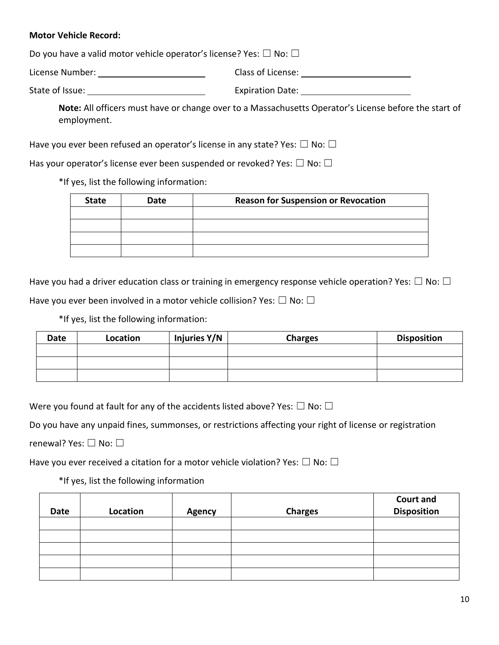## **Motor Vehicle Record:**

Do you have a valid motor vehicle operator's license? Yes:  $\Box$  No:  $\Box$ 

| License Number: | Class of License: |  |
|-----------------|-------------------|--|
|                 |                   |  |

State of Issue: The Community of The Expiration Date:

**Note:** All officers must have or change over to a Massachusetts Operator's License before the start of employment.

Have you ever been refused an operator's license in any state? Yes:  $\Box$  No:  $\Box$ 

Has your operator's license ever been suspended or revoked? Yes:  $\Box$  No:  $\Box$ 

\*If yes, list the following information:

| <b>State</b> | Date | <b>Reason for Suspension or Revocation</b> |  |
|--------------|------|--------------------------------------------|--|
|              |      |                                            |  |
|              |      |                                            |  |
|              |      |                                            |  |
|              |      |                                            |  |

Have you had a driver education class or training in emergency response vehicle operation? Yes:  $\Box$  No:  $\Box$ 

Have you ever been involved in a motor vehicle collision? Yes:  $\Box$  No:  $\Box$ 

\*If yes, list the following information:

| Date | Location | Injuries Y/N | <b>Charges</b> | <b>Disposition</b> |
|------|----------|--------------|----------------|--------------------|
|      |          |              |                |                    |
|      |          |              |                |                    |
|      |          |              |                |                    |

Were you found at fault for any of the accidents listed above? Yes:  $\Box$  No:  $\Box$ 

Do you have any unpaid fines, summonses, or restrictions affecting your right of license or registration

renewal? Yes: □ No: □

Have you ever received a citation for a motor vehicle violation? Yes:  $\Box$  No:  $\Box$ 

\*If yes, list the following information

| Date | Location | <b>Agency</b> | <b>Charges</b> | <b>Court and</b><br><b>Disposition</b> |
|------|----------|---------------|----------------|----------------------------------------|
|      |          |               |                |                                        |
|      |          |               |                |                                        |
|      |          |               |                |                                        |
|      |          |               |                |                                        |
|      |          |               |                |                                        |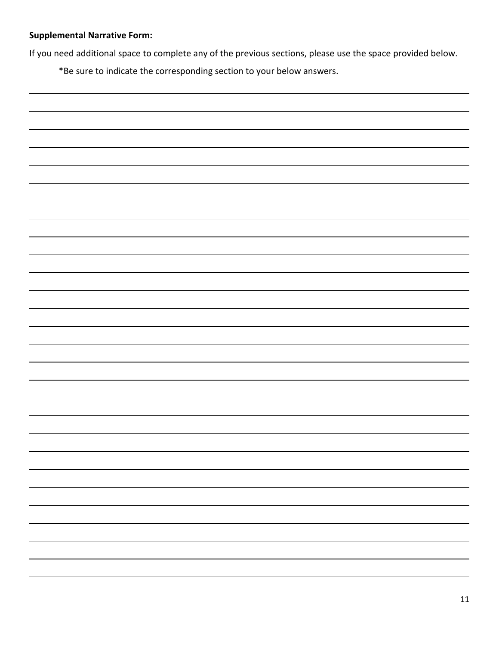# **Supplemental Narrative Form:**

If you need additional space to complete any of the previous sections, please use the space provided below.

\*Be sure to indicate the corresponding section to your below answers.

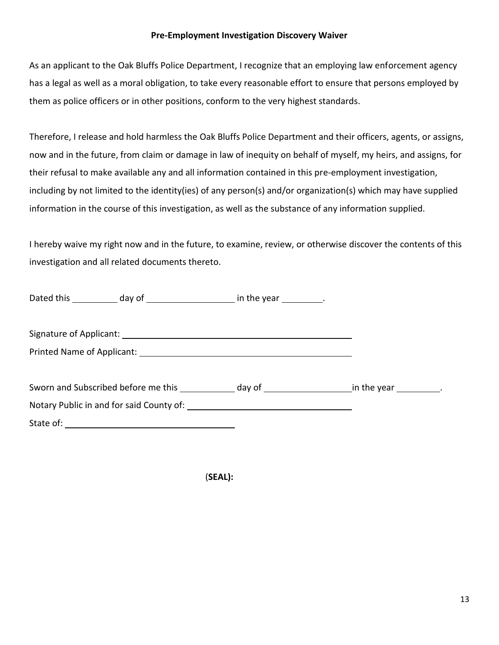## **Pre-Employment Investigation Discovery Waiver**

As an applicant to the Oak Bluffs Police Department, I recognize that an employing law enforcement agency has a legal as well as a moral obligation, to take every reasonable effort to ensure that persons employed by them as police officers or in other positions, conform to the very highest standards.

Therefore, I release and hold harmless the Oak Bluffs Police Department and their officers, agents, or assigns, now and in the future, from claim or damage in law of inequity on behalf of myself, my heirs, and assigns, for their refusal to make available any and all information contained in this pre-employment investigation, including by not limited to the identity(ies) of any person(s) and/or organization(s) which may have supplied information in the course of this investigation, as well as the substance of any information supplied.

I hereby waive my right now and in the future, to examine, review, or otherwise discover the contents of this investigation and all related documents thereto.

| Dated this ____________ day of ________________________ in the year __________.                            |  |
|------------------------------------------------------------------------------------------------------------|--|
|                                                                                                            |  |
|                                                                                                            |  |
| Sworn and Subscribed before me this ______________ day of ________________________ in the year __________. |  |
|                                                                                                            |  |
|                                                                                                            |  |

(**SEAL):**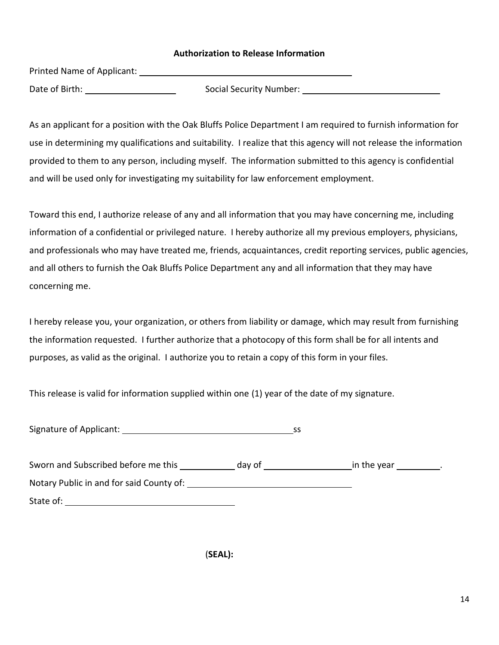### **Authorization to Release Information**

Printed Name of Applicant:

Date of Birth: Social Security Number: Social Security Number:

As an applicant for a position with the Oak Bluffs Police Department I am required to furnish information for use in determining my qualifications and suitability. I realize that this agency will not release the information provided to them to any person, including myself. The information submitted to this agency is confidential and will be used only for investigating my suitability for law enforcement employment.

Toward this end, I authorize release of any and all information that you may have concerning me, including information of a confidential or privileged nature. I hereby authorize all my previous employers, physicians, and professionals who may have treated me, friends, acquaintances, credit reporting services, public agencies, and all others to furnish the Oak Bluffs Police Department any and all information that they may have concerning me.

I hereby release you, your organization, or others from liability or damage, which may result from furnishing the information requested. I further authorize that a photocopy of this form shall be for all intents and purposes, as valid as the original. I authorize you to retain a copy of this form in your files.

This release is valid for information supplied within one (1) year of the date of my signature.

| Signature of Applicant: |  |
|-------------------------|--|
|                         |  |

| Sworn and Subscribed before me this      | day of | in the year |
|------------------------------------------|--------|-------------|
| Notary Public in and for said County of: |        |             |
| State of:                                |        |             |

(**SEAL):**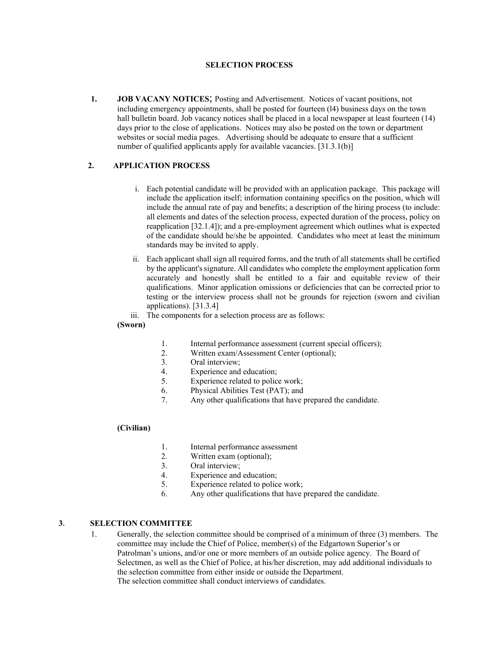#### **SELECTION PROCESS**

**1. JOB VACANY NOTICES**; Posting and Advertisement. Notices of vacant positions, not including emergency appointments, shall be posted for fourteen (l4) business days on the town hall bulletin board. Job vacancy notices shall be placed in a local newspaper at least fourteen (14) days prior to the close of applications. Notices may also be posted on the town or department websites or social media pages. Advertising should be adequate to ensure that a sufficient number of qualified applicants apply for available vacancies. [31.3.1(b)]

#### **2. APPLICATION PROCESS**

- i. Each potential candidate will be provided with an application package. This package will include the application itself; information containing specifics on the position, which will include the annual rate of pay and benefits; a description of the hiring process (to include: all elements and dates of the selection process, expected duration of the process, policy on reapplication [32.1.4]); and a pre-employment agreement which outlines what is expected of the candidate should he/she be appointed. Candidates who meet at least the minimum standards may be invited to apply.
- ii. Each applicant shall sign all required forms, and the truth of all statements shall be certified by the applicant's signature. All candidates who complete the employment application form accurately and honestly shall be entitled to a fair and equitable review of their qualifications. Minor application omissions or deficiencies that can be corrected prior to testing or the interview process shall not be grounds for rejection (sworn and civilian applications). [31.3.4]
- iii. The components for a selection process are as follows:

#### **(Sworn)**

- 1. Internal performance assessment (current special officers);
- 2. Written exam/Assessment Center (optional);
- 3. Oral interview;
- 4. Experience and education;
- 5. Experience related to police work;
- 6. Physical Abilities Test (PAT); and
- 7. Any other qualifications that have prepared the candidate.

#### **(Civilian)**

- 1. Internal performance assessment
- 2. Written exam (optional);
- 3. Oral interview;
- 4. Experience and education;
- 5. Experience related to police work;
- 6. Any other qualifications that have prepared the candidate.

#### **3. SELECTION COMMITTEE**

1. Generally, the selection committee should be comprised of a minimum of three (3) members. The committee may include the Chief of Police, member(s) of the Edgartown Superior's or Patrolman's unions, and/or one or more members of an outside police agency. The Board of Selectmen, as well as the Chief of Police, at his/her discretion, may add additional individuals to the selection committee from either inside or outside the Department. The selection committee shall conduct interviews of candidates.